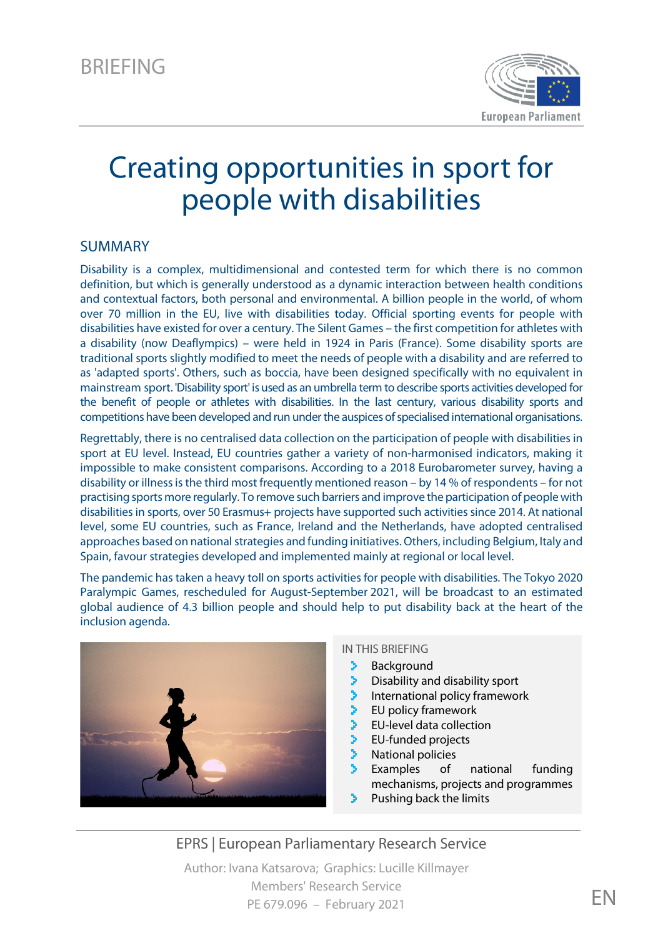

# Creating opportunities in sport for people with disabilities

#### SUMMARY

Disability is a complex, multidimensional and contested term for which there is no common definition, but which is generally understood as a dynamic interaction between health conditions and contextual factors, both personal and environmental. A billion people in the world, of whom over 70 million in the EU, live with disabilities today. Official sporting events for people with disabilities have existed for over a century. The Silent Games – the first competition for athletes with a disability (now Deaflympics) – were held in 1924 in Paris (France). Some disability sports are traditional sports slightly modified to meet the needs of people with a disability and are referred to as 'adapted sports'. Others, such as boccia, have been designed specifically with no equivalent in mainstream sport. 'Disability sport' is used as an umbrella term to describe sports activities developed for the benefit of people or athletes with disabilities. In the last century, various disability sports and competitions have been developed and run under the auspices of specialised international organisations.

Regrettably, there is no centralised data collection on the participation of people with disabilities in sport at EU level. Instead, EU countries gather a variety of non-harmonised indicators, making it impossible to make consistent comparisons. According to a 2018 Eurobarometer survey, having a disability or illness is the third most frequently mentioned reason – by 14 % of respondents – for not practising sports more regularly. To remove such barriers and improve the participation of people with disabilities in sports, over 50 Erasmus+ projects have supported such activities since 2014. At national level, some EU countries, such as France, Ireland and the Netherlands, have adopted centralised approaches based on national strategies and funding initiatives. Others, including Belgium, Italy and Spain, favour strategies developed and implemented mainly at regional or local level.

The pandemic has taken a heavy toll on sports activities for people with disabilities. The Tokyo 2020 Paralympic Games, rescheduled for August-September 2021, will be broadcast to an estimated global audience of 4.3 billion people and should help to put disability back at the heart of the inclusion agenda.



#### IN THIS BRIEFING

- X **Background**
- Disability and disability sport
- International policy framework
- EU policy framework
- EU-level data collection
- EU-funded projects
- National policies
- Examples of national funding mechanisms, projects and programmes
- Pushing back the limits

EPRS | European Parliamentary Research Service Author: Ivana Katsarova; Graphics: Lucille Killmayer Members' Research Service

PE 679.096 – February 2021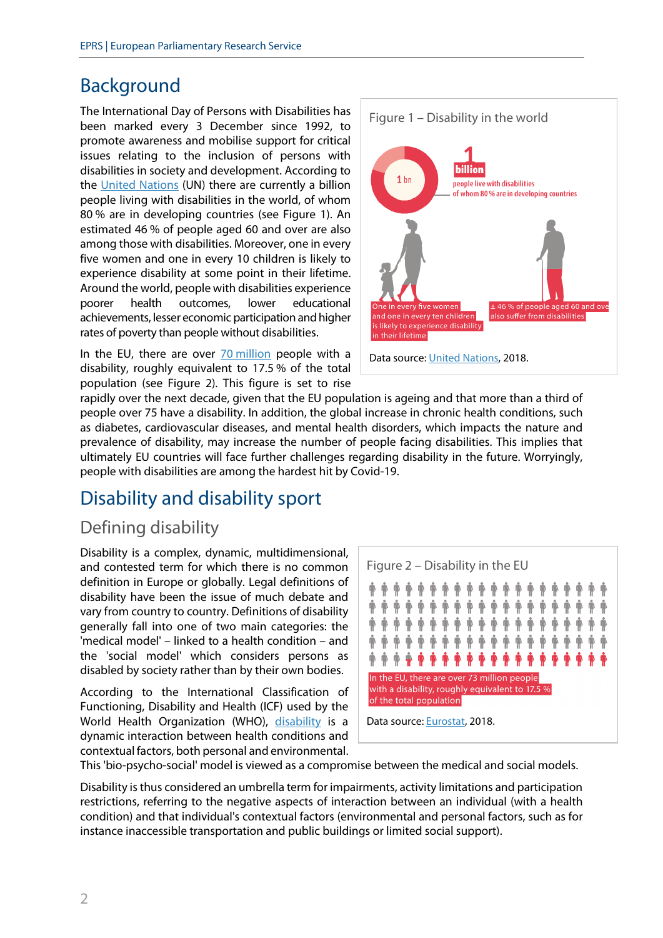# Background

The International Day of Persons with Disabilities has been marked every 3 December since 1992, to promote awareness and mobilise support for critical issues relating to the inclusion of persons with disabilities in society and development. According to the [United Nations](https://www.un.org/en/observances/day-of-persons-with-disabilities) (UN) there are currently a billion people living with disabilities in the world, of whom 80 % are in developing countries (see Figure 1). An estimated 46 % of people aged 60 and over are also among those with disabilities. Moreover, one in every five women and one in every 10 children is likely to experience disability at some point in their lifetime. Around the world, people with disabilities experience poorer health outcomes, lower educational achievements, lesser economic participation and higher rates of poverty than people without disabilities.

In the EU, there are over 70 [million](http://appsso.eurostat.ec.europa.eu/nui/show.do?dataset=hlth_dpeh005&lang=en) people with a disability, roughly equivalent to 17.5 % of the total population (see Figure 2). This figure is set to rise



rapidly over the next decade, given that the EU population is ageing and that more than a third of people over 75 have a disability. In addition, the global increase in chronic health conditions, such as diabetes, cardiovascular diseases, and mental health disorders, which impacts the nature and prevalence of disability, may increase the number of people facing disabilities. This implies that ultimately EU countries will face further challenges regarding disability in the future. Worryingly, people with disabilities are among the hardest hit by Covid-19.

# Disability and disability sport

### Defining disability

Disability is a complex, dynamic, multidimensional, and contested term for which there is no common definition in Europe or globally. Legal definitions of disability have been the issue of much debate and vary from country to country. Definitions of disability generally fall into one of two main categories: the 'medical model' – linked to a health condition – and the 'social model' which considers persons as disabled by society rather than by their own bodies.

According to the International Classification of Functioning, Disability and Health (ICF) used by the World Health Organization (WHO), [disability](https://www.who.int/disabilities/world_report/2011/report.pdf) is a dynamic interaction between health conditions and contextual factors, both personal and environmental.



This 'bio-psycho-social' model is viewed as a compromise between the medical and social models.

Disability is thus considered an umbrella term for impairments, activity limitations and participation restrictions, referring to the negative aspects of interaction between an individual (with a health condition) and that individual's contextual factors (environmental and personal factors, such as for instance inaccessible transportation and public buildings or limited social support).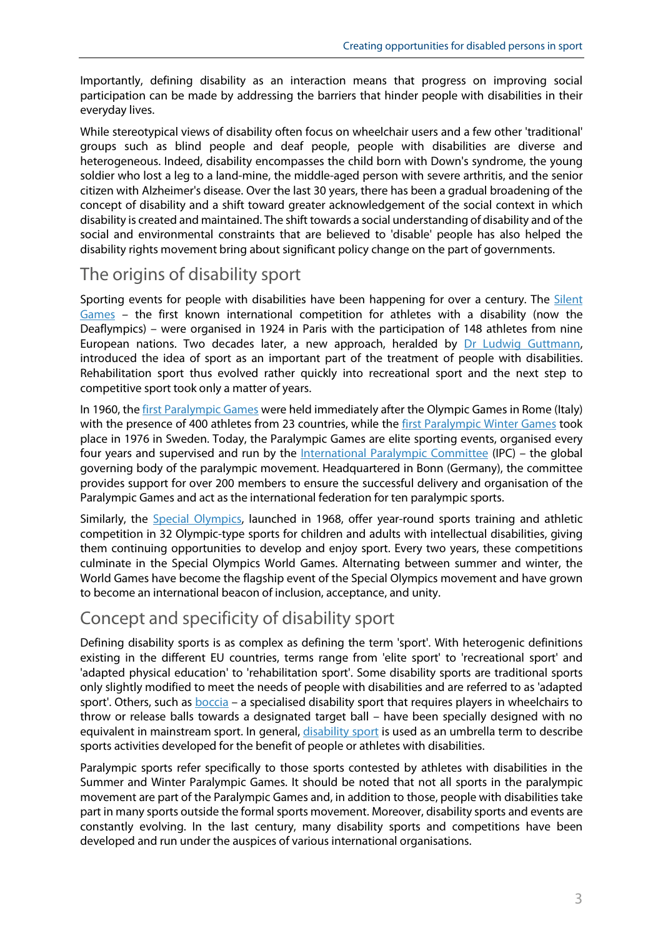Importantly, defining disability as an interaction means that progress on improving social participation can be made by addressing the barriers that hinder people with disabilities in their everyday lives.

While stereotypical views of disability often focus on wheelchair users and a few other 'traditional' groups such as blind people and deaf people, people with disabilities are diverse and heterogeneous. Indeed, disability encompasses the child born with Down's syndrome, the young soldier who lost a leg to a land-mine, the middle-aged person with severe arthritis, and the senior citizen with Alzheimer's disease. Over the last 30 years, there has been a gradual broadening of the concept of disability and a shift toward greater acknowledgement of the social context in which disability is created and maintained. The shift towards a social understanding of disability and of the social and environmental constraints that are believed to 'disable' people has also helped the disability rights movement bring about significant policy change on the part of governments.

### The origins of disability sport

Sporting events for people with disabilities have been happening for over a century. The [Silent](https://www.deaflympics.com/icsd/history)  [Games](https://www.deaflympics.com/icsd/history) – the first known international competition for athletes with a disability (now the Deaflympics) – were organised in 1924 in Paris with the participation of 148 athletes from nine European nations. Two decades later, a new approach, heralded by [Dr Ludwig Guttmann,](https://www.paralympicheritage.org.uk/professor-sir-ludwig-guttmann) introduced the idea of sport as an important part of the treatment of people with disabilities. Rehabilitation sport thus evolved rather quickly into recreational sport and the next step to competitive sport took only a matter of years.

In 1960, the first [Paralympic Games](https://www.paralympic.org/rome-1960) were held immediately after the Olympic Games in Rome (Italy) with the presence of 400 athletes from 23 countries, while the first [Paralympic Winter Games](https://oldwebsite.paralympic.org/the-ipc/history-of-the-movement) took place in 1976 in Sweden. Today, the Paralympic Games are elite sporting events, organised every four years and supervised and run by the [International Paralympic Committee](https://www.paralympic.org/ipc/who-we-are) (IPC) – the global governing body of the paralympic movement. Headquartered in Bonn (Germany), the committee provides support for over 200 members to ensure the successful delivery and organisation of the Paralympic Games and act as the international federation for ten paralympic sports.

Similarly, the [Special Olympics,](https://www.specialolympics.org/our-work/sports?locale=en) launched in 1968, offer year-round sports training and athletic competition in 32 Olympic-type sports for children and adults with intellectual disabilities, giving them continuing opportunities to develop and enjoy sport. Every two years, these competitions culminate in the Special Olympics World Games. Alternating between summer and winter, the World Games have become the flagship event of the Special Olympics movement and have grown to become an international beacon of inclusion, acceptance, and unity.

### Concept and specificity of disability sport

Defining disability sports is as complex as defining the term 'sport'. With heterogenic definitions existing in the different EU countries, terms range from 'elite sport' to 'recreational sport' and 'adapted physical education' to 'rehabilitation sport'. Some disability sports are traditional sports only slightly modified to meet the needs of people with disabilities and are referred to as 'adapted sport'. Others, such as **boccia** – a specialised disability sport that requires players in wheelchairs to throw or release balls towards a designated target ball – have been specially designed with no equivalent in mainstream sport. In general, [disability sport](https://www.researchgate.net/publication/261506543_All_for_Sport_for_All_Perspectives_of_Sport_for_People_with_a_Disability_in_Europe) is used as an umbrella term to describe sports activities developed for the benefit of people or athletes with disabilities.

Paralympic sports refer specifically to those sports contested by athletes with disabilities in the Summer and Winter Paralympic Games. It should be noted that not all sports in the paralympic movement are part of the Paralympic Games and, in addition to those, people with disabilities take part in many sports outside the formal sports movement. Moreover, disability sports and events are constantly evolving. In the last century, many disability sports and competitions have been developed and run under the auspices of various international organisations.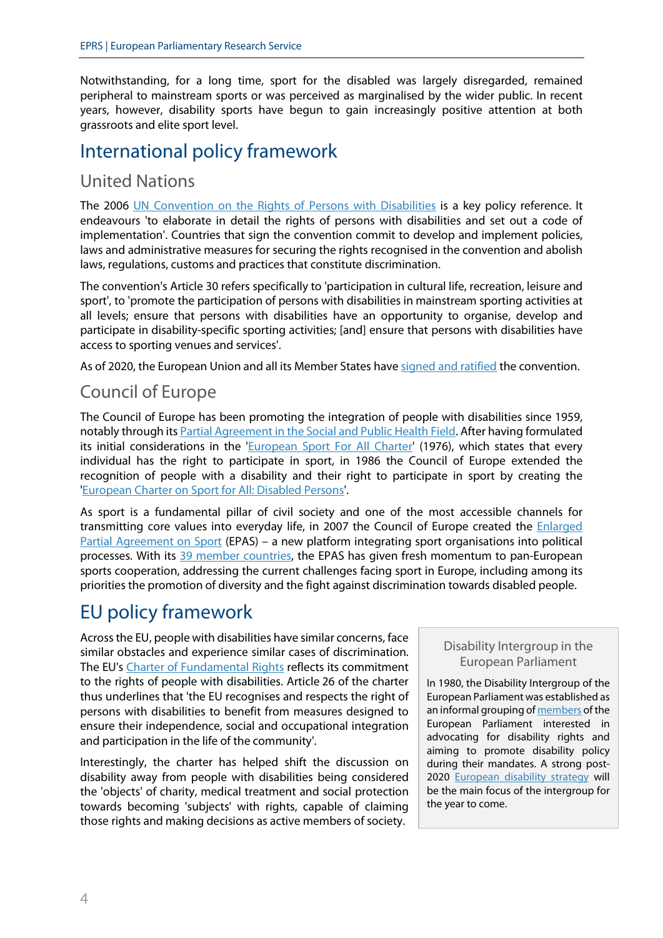Notwithstanding, for a long time, sport for the disabled was largely disregarded, remained peripheral to mainstream sports or was perceived as marginalised by the wider public. In recent years, however, disability sports have begun to gain increasingly positive attention at both grassroots and elite sport level.

# International policy framework

### United Nations

The 2006 [UN Convention on the Rights of Persons with Disabilities](https://www.un.org/development/desa/disabilities/convention-on-the-rights-of-persons-with-disabilities.html) is a key policy reference. It endeavours 'to elaborate in detail the rights of persons with disabilities and set out a code of implementation'. Countries that sign the convention commit to develop and implement policies, laws and administrative measures for securing the rights recognised in the convention and abolish laws, regulations, customs and practices that constitute discrimination.

The convention's Article 30 refers specifically to 'participation in cultural life, recreation, leisure and sport', to 'promote the participation of persons with disabilities in mainstream sporting activities at all levels; ensure that persons with disabilities have an opportunity to organise, develop and participate in disability-specific sporting activities; [and] ensure that persons with disabilities have access to sporting venues and services'.

As of 2020, the European Union and all its Member States have [signed and ratified](https://treaties.un.org/Pages/ViewDetails.aspx?src=TREATY&mtdsg_no=IV-15&chapter=4&clang=_en) the convention.

### Council of Europe

The Council of Europe has been promoting the integration of people with disabilities since 1959, notably through its [Partial Agreement in the Social and Public Health Field.](https://www.coe.int/en/web/disability/partial-agreement) After having formulated its initial considerations in the ['European Sport For All](https://rm.coe.int/16804c9dbb) Charter' (1976), which states that every individual has the right to participate in sport, in 1986 the Council of Europe extended the recognition of people with a disability and their right to participate in sport by creating the ['European Charter on Sport for All: Disabled Persons'](https://rm.coe.int/native/09000016804cb92d).

As sport is a fundamental pillar of civil society and one of the most accessible channels for transmitting core values into everyday life, in 2007 the Council of Europe created the **Enlarged** [Partial Agreement on Sport](https://www.coe.int/en/web/sport/epas) (EPAS) – a new platform integrating sport organisations into political processes. With its [39 member countries,](https://www.coe.int/en/web/sport/member-states) the EPAS has given fresh momentum to pan-European sports cooperation, addressing the current challenges facing sport in Europe, including among its priorities the promotion of diversity and the fight against discrimination towards disabled people.

# EU policy framework

Across the EU, people with disabilities have similar concerns, face similar obstacles and experience similar cases of discrimination. The EU's [Charter of Fundamental Rights](https://eur-lex.europa.eu/legal-content/EN/TXT/?uri=CELEX%3A12012P%2FTXT) reflects its commitment to the rights of people with disabilities. Article 26 of the charter thus underlines that 'the EU recognises and respects the right of persons with disabilities to benefit from measures designed to ensure their independence, social and occupational integration and participation in the life of the community'.

Interestingly, the charter has helped shift the discussion on disability away from people with disabilities being considered the 'objects' of charity, medical treatment and social protection towards becoming 'subjects' with rights, capable of claiming those rights and making decisions as active members of society.

#### Disability Intergroup in the European Parliament

In 1980, the Disability Intergroup of the European Parliament was established as an informal grouping o[f members](https://www.europarl.europa.eu/about-parliament/files/organisation-and-rules/organisation/intergroups/list-of-members-disability.pdf) of the European Parliament interested in advocating for disability rights and aiming to promote disability policy during their mandates. A strong post-2020 [European disability strategy](https://www.greens-efa.eu/en/article/press/discrimination-has-to-stop-european-parliament-to-vote-on-resolution-for-strong-disability-strategy/) will be the main focus of the intergroup for the year to come.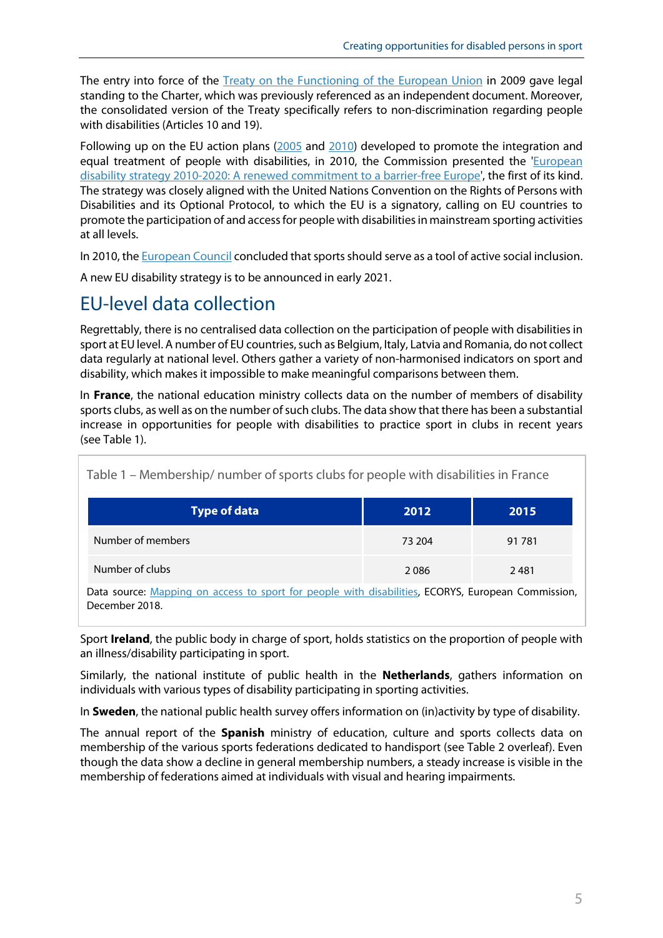The entry into force of the [Treaty on the Functioning of the European Union](https://eur-lex.europa.eu/legal-content/EN/TXT/?uri=celex%3A12012E%2FTXT) in 2009 gave legal standing to the Charter, which was previously referenced as an independent document. Moreover, the consolidated version of the Treaty specifically refers to non-discrimination regarding people with disabilities (Articles 10 and 19).

Following up on the EU action plans [\(2005](https://eur-lex.europa.eu/legal-content/EN/TXT/?uri=CELEX%3A52005DC0604&qid=1610459110278) and [2010\)](https://eur-lex.europa.eu/legal-content/EN/TXT/?uri=CELEX%3A52010SC1324&qid=1610459659293) developed to promote the integration and equal treatment of people with disabilities, in 2010, the Commission presented the 'European [disability strategy 2010-2020: A renewed commitment](https://eur-lex.europa.eu/legal-content/EN/TXT/?uri=celex%3A52010DC0636) to a barrier-free Europe', the first of its kind. The strategy was closely aligned with the United Nations Convention on the Rights of Persons with Disabilities and its Optional Protocol, to which the EU is a signatory, calling on EU countries to promote the participation of and access for people with disabilities in mainstream sporting activities at all levels.

In 2010, th[e European Council](https://eur-lex.europa.eu/legal-content/EN/TXT/?uri=CELEX%3A52010XG1203%2804%29) concluded that sports should serve as a tool of active social inclusion.

A new EU disability strategy is to be announced in early 2021.

# EU-level data collection

Regrettably, there is no centralised data collection on the participation of people with disabilities in sport at EU level. A number of EU countries, such as Belgium, Italy, Latvia and Romania, do not collect data regularly at national level. Others gather a variety of non-harmonised indicators on sport and disability, which makes it impossible to make meaningful comparisons between them.

In **France**, the national education ministry collects data on the number of members of disability sports clubs, as well as on the number of such clubs. The data show that there has been a substantial increase in opportunities for people with disabilities to practice sport in clubs in recent years (see Table 1).

| Table 1 – Membership/ number of sports clubs for people with disabilities in France |  |  |  |  |
|-------------------------------------------------------------------------------------|--|--|--|--|
|                                                                                     |  |  |  |  |

| Type of data      | 2012   | 2015   |
|-------------------|--------|--------|
| Number of members | 73 204 | 91 781 |
| Number of clubs   | 2086   | 2481   |

Data source: [Mapping on access to sport for people with disabilities,](https://op.europa.eu/en/publication-detail/-/publication/09e457a0-04d7-11e9-adde-01aa75ed71a1/language-en/format-PDF/source-84442024) ECORYS, European Commission, December 2018.

Sport **Ireland**, the public body in charge of sport, holds statistics on the proportion of people with an illness/disability participating in sport.

Similarly, the national institute of public health in the **Netherlands**, gathers information on individuals with various types of disability participating in sporting activities.

In **Sweden**, the national public health survey offers information on (in)activity by type of disability.

The annual report of the **Spanish** ministry of education, culture and sports collects data on membership of the various sports federations dedicated to handisport (see Table 2 overleaf). Even though the data show a decline in general membership numbers, a steady increase is visible in the membership of federations aimed at individuals with visual and hearing impairments.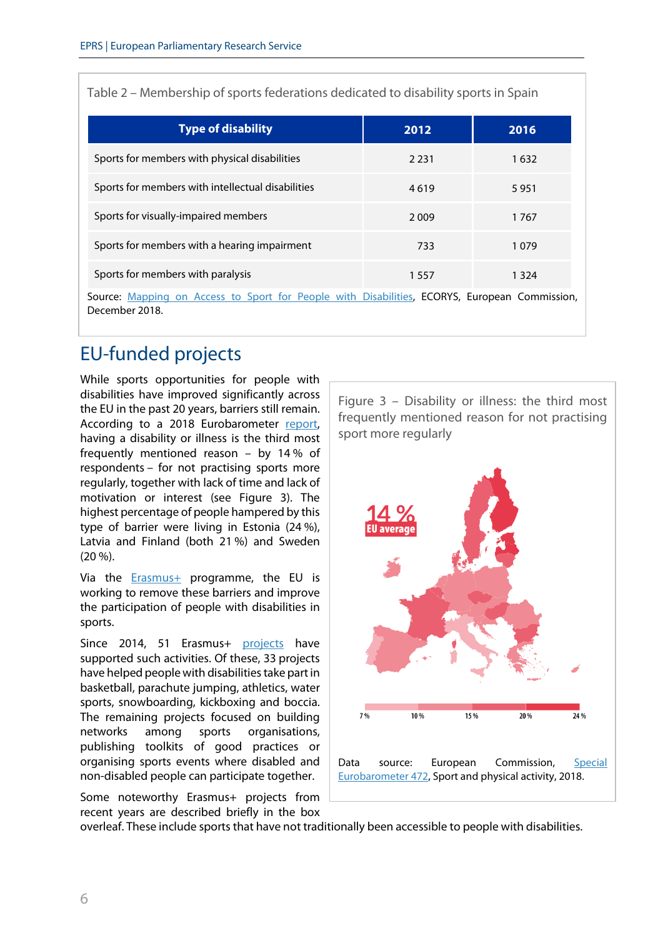Table 2 – Membership of sports federations dedicated to disability sports in Spain

| <b>Type of disability</b>                                                                                      | 2012 | 2016    |
|----------------------------------------------------------------------------------------------------------------|------|---------|
| Sports for members with physical disabilities                                                                  | 2231 | 1632    |
| Sports for members with intellectual disabilities                                                              | 4619 | 5951    |
| Sports for visually-impaired members                                                                           | 2009 | 1767    |
| Sports for members with a hearing impairment                                                                   | 733  | 1079    |
| Sports for members with paralysis                                                                              | 1557 | 1 3 2 4 |
| Source: Mapping on Access to Sport for People with Disabilities, ECORYS, European Commission,<br>December 2018 |      |         |

# EU-funded projects

While sports opportunities for people with disabilities have improved significantly across the EU in the past 20 years, barriers still remain. According to a 2018 Eurobarometer [report,](https://ec.europa.eu/commfrontoffice/publicopinion/index.cfm/Survey/getSurveyDetail/instruments/SPECIAL/surveyKy/2164) having a disability or illness is the third most frequently mentioned reason – by 14 % of respondents – for not practising sports more regularly, together with lack of time and lack of motivation or interest (see Figure 3). The highest percentage of people hampered by this type of barrier were living in Estonia (24 %), Latvia and Finland (both 21 %) and Sweden (20 %).

Via the  $Erasmus+$  programme, the EU is working to remove these barriers and improve the participation of people with disabilities in sports.

Since 2014, 51 Erasmus+ [projects](http://ec.europa.eu/social/BlobServlet?docId=16995&langId=en) have supported such activities. Of these, 33 projects have helped people with disabilities take part in basketball, parachute jumping, athletics, water sports, snowboarding, kickboxing and boccia. The remaining projects focused on building networks among sports organisations, publishing toolkits of good practices or organising sports events where disabled and non-disabled people can participate together.

Some noteworthy Erasmus+ projects from recent years are described briefly in the box Figure 3 – Disability or illness: the third most frequently mentioned reason for not practising sport more regularly



overleaf. These include sports that have not traditionally been accessible to people with disabilities.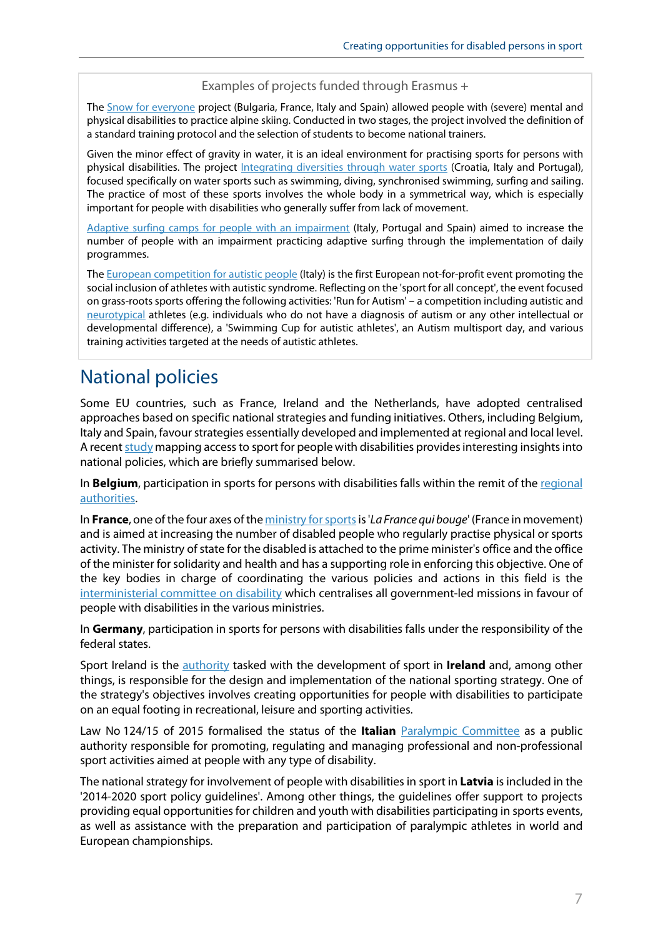#### Examples of projects funded through Erasmus +

The [Snow for everyone](https://ec.europa.eu/programmes/erasmus-plus/projects/eplus-project-details/#project/590703-EPP-1-2017-1-IT-SPO-SSCP) project (Bulgaria, France, Italy and Spain) allowed people with (severe) mental and physical disabilities to practice alpine skiing. Conducted in two stages, the project involved the definition of a standard training protocol and the selection of students to become national trainers.

Given the minor effect of gravity in water, it is an ideal environment for practising sports for persons with physical disabilities. The project [Integrating diversities through water sports](https://ec.europa.eu/programmes/erasmus-plus/projects/eplus-project-details/#project/579858-EPP-1-2016-1-IT-SPO-SSCP) (Croatia, Italy and Portugal), focused specifically on water sports such as swimming, diving, synchronised swimming, surfing and sailing. The practice of most of these sports involves the whole body in a symmetrical way, which is especially important for people with disabilities who generally suffer from lack of movement.

[Adaptive surfing camps for people with an impairment](https://ec.europa.eu/programmes/erasmus-plus/projects/eplus-project-details/#project/579841-EPP-1-2016-1-ES-SPO-SSCP) (Italy, Portugal and Spain) aimed to increase the number of people with an impairment practicing adaptive surfing through the implementation of daily programmes.

The **European competition for autistic people** (Italy) is the first European not-for-profit event promoting the social inclusion of athletes with autistic syndrome. Reflecting on the 'sport for all concept', the event focused on grass-roots sports offering the following activities: 'Run for Autism' – a competition including autistic and [neurotypical](https://www.verywellhealth.com/what-does-it-mean-to-be-neurotypical-260047#:%7E:text=Neurotypical%20people%20are%20those%20individuals,normal%22%20by%20the%20general%20population.) athletes (e.g. individuals who do not have a diagnosis of autism or any other intellectual or developmental difference), a 'Swimming Cup for autistic athletes', an Autism multisport day, and various training activities targeted at the needs of autistic athletes.

# National policies

Some EU countries, such as France, Ireland and the Netherlands, have adopted centralised approaches based on specific national strategies and funding initiatives. Others, including Belgium, Italy and Spain, favour strategies essentially developed and implemented at regional and local level. A recen[t study](https://op.europa.eu/en/publication-detail/-/publication/09e457a0-04d7-11e9-adde-01aa75ed71a1/language-en/format-PDF/source-84442024) mapping access to sport for people with disabilities provides interesting insights into national policies, which are briefly summarised below.

In **Belgium**, participation in sports for persons with disabilities falls within the remit of the regional [authorities.](http://www.sport-adeps.be/pdf/Plaquette%20Adeps%20FINAL.pdf)

In **France**, one of the four axes of the ministry for sports is '*La France qui bouge*' (France in movement) and is aimed at increasing the number of disabled people who regularly practise physical or sports activity. The ministry of state for the disabled is attached to the prime minister's office and the office of the minister for solidarity and health and has a supporting role in enforcing this objective. One of the key bodies in charge of coordinating the various policies and actions in this field is the [interministerial committee on disability](https://handicap.gouv.fr/le-secretariat-d-etat/acteurs/comite-interministeriel-du-handicap-cih/) which centralises all government-led missions in favour of people with disabilities in the various ministries.

In **Germany**, participation in sports for persons with disabilities falls under the responsibility of the federal states.

Sport Ireland is the [authority](https://www.sportireland.ie/) tasked with the development of sport in **Ireland** and, among other things, is responsible for the design and implementation of the national sporting strategy. One of the strategy's objectives involves creating opportunities for people with disabilities to participate on an equal footing in recreational, leisure and sporting activities.

Law No 124/15 of 2015 formalised the status of the **Italian** [Paralympic Committee](http://www.comitatoparalimpico.it/) as a public authority responsible for promoting, regulating and managing professional and non-professional sport activities aimed at people with any type of disability.

The national strategy for involvement of people with disabilities in sport in **Latvia** is included in the '2014-2020 sport policy guidelines'. Among other things, the guidelines offer support to projects providing equal opportunities for children and youth with disabilities participating in sports events, as well as assistance with the preparation and participation of paralympic athletes in world and European championships.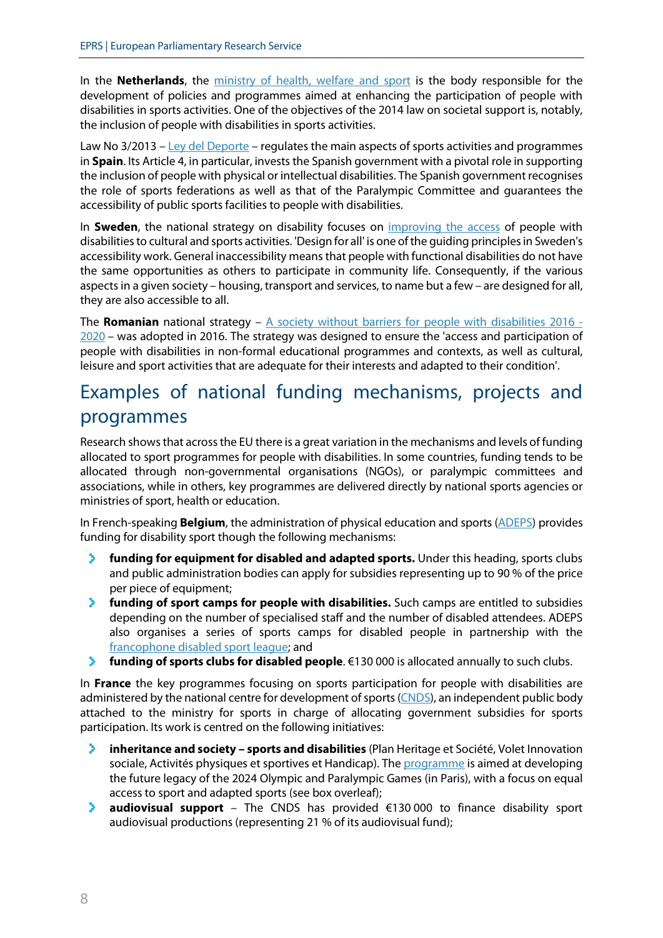In the **Netherlands**, the [ministry of health, welfare and sport](https://www.government.nl/ministries/ministry-of-health-welfare-and-sport) is the body responsible for the development of policies and programmes aimed at enhancing the participation of people with disabilities in sports activities. One of the objectives of the 2014 law on societal support is, notably, the inclusion of people with disabilities in sports activities.

Law No 3/2013 – [Ley del Deporte](https://www.boe.es/buscar/act.php?id=BOE-A-2013-6732) – regulates the main aspects of sports activities and programmes in **Spain**. Its Article 4, in particular, invests the Spanish government with a pivotal role in supporting the inclusion of people with physical or intellectual disabilities. The Spanish government recognises the role of sports federations as well as that of the Paralympic Committee and guarantees the accessibility of public sports facilities to people with disabilities.

In **Sweden**, the national strategy on disability focuses on [improving the access](https://sweden.se/society/swedens-disability-policy/#:%7E:text=Sweden%27s%20disability%20policy-,Around%2010%E2%80%9320%20per%20cent%20of%20people%20in%20the%20western,the%20same%20terms%20as%20others.) of people with disabilities to cultural and sports activities. 'Design for all' is one of the guiding principles in Sweden's accessibility work. General inaccessibility means that people with functional disabilities do not have the same opportunities as others to participate in community life. Consequently, if the various aspects in a given society – housing, transport and services, to name but a few – are designed for all, they are also accessible to all.

The Romanian national strategy – [A society without barriers for people with disabilities 2016 -](https://www.romania-insider.com/romanias-government-adopts-national-strategy-people-disabilities) [2020 –](https://www.romania-insider.com/romanias-government-adopts-national-strategy-people-disabilities) was adopted in 2016. The strategy was designed to ensure the 'access and participation of people with disabilities in non-formal educational programmes and contexts, as well as cultural, leisure and sport activities that are adequate for their interests and adapted to their condition'.

# Examples of national funding mechanisms, projects and programmes

Research shows that across the EU there is a great variation in the mechanisms and levels of funding allocated to sport programmes for people with disabilities. In some countries, funding tends to be allocated through non-governmental organisations (NGOs), or paralympic committees and associations, while in others, key programmes are delivered directly by national sports agencies or ministries of sport, health or education.

In French-speaking **Belgium**, the administration of physical education and sports [\(ADEPS\)](http://www.sport-adeps.be/pdf/Plaquette%20Adeps%20FINAL.pdf) provides funding for disability sport though the following mechanisms:

- **funding for equipment for disabled and adapted sports.** Under this heading, sports clubs ⋗. and public administration bodies can apply for subsidies representing up to 90 % of the price per piece of equipment;
- **funding of sport camps for people with disabilities.** Such camps are entitled to subsidies У. depending on the number of specialised staff and the number of disabled attendees. ADEPS also organises a series of sports camps for disabled people in partnership with the [francophone disabled sport league;](http://www.handisport.be/) and
- > **funding of sports clubs for disabled people**. €130 000 is allocated annually to such clubs.

In **France** the key programmes focusing on sports participation for people with disabilities are administered by the national centre for development of sports [\(CNDS\)](http://reunion.drjscs.gouv.fr/spip.php?rubrique171), an independent public body attached to the ministry for sports in charge of allocating government subsidies for sports participation. Its work is centred on the following initiatives:

- × **inheritance and society – sports and disabilities** (Plan Heritage et Société, Volet Innovation sociale, Activités physiques et sportives et Handicap). The [programme](https://www.agencedusport.fr/Heritage-et-Societe-Paris-2024) is aimed at developing the future legacy of the 2024 Olympic and Paralympic Games (in Paris), with a focus on equal access to sport and adapted sports (see box overleaf);
- ⋗ **audiovisual support** – The CNDS has provided €130 000 to finance disability sport audiovisual productions (representing 21 % of its audiovisual fund);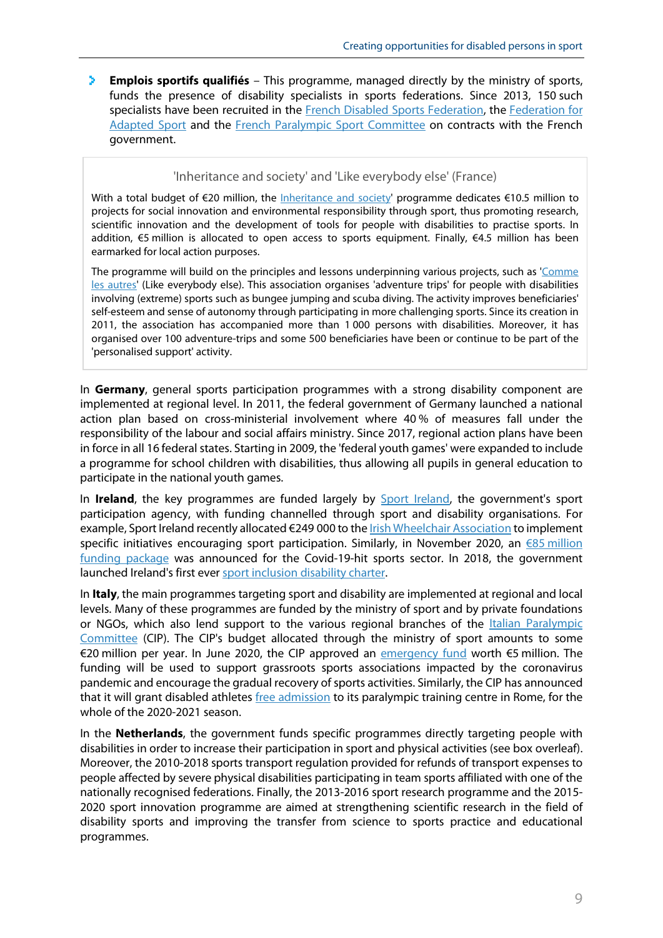**Emplois sportifs qualifiés** – This programme, managed directly by the ministry of sports, funds the presence of disability specialists in sports federations. Since 2013, 150 such specialists have been recruited in the [French Disabled Sports Federation,](http://www.handisport.org/) the [Federation for](https://sportadapte.fr/)  [Adapted Sport](https://sportadapte.fr/) and the [French Paralympic Sport Committee](https://france-paralympique.fr/) on contracts with the French government.

#### 'Inheritance and society' and 'Like everybody else' (France)

With a total budget of €20 million, the [Inheritance and society'](https://www.agencedusport.fr/Heritage-et-Societe-Paris-2024) programme dedicates €10.5 million to projects for social innovation and environmental responsibility through sport, thus promoting research, scientific innovation and the development of tools for people with disabilities to practise sports. In addition, €5 million is allocated to open access to sports equipment. Finally, €4.5 million has been earmarked for local action purposes.

The programme will build on the principles and lessons underpinning various projects, such as ['Comme](https://www.commelesautres.org/association)  [les autres'](https://www.commelesautres.org/association) (Like everybody else). This association organises 'adventure trips' for people with disabilities involving (extreme) sports such as bungee jumping and scuba diving. The activity improves beneficiaries' self-esteem and sense of autonomy through participating in more challenging sports. Since its creation in 2011, the association has accompanied more than 1 000 persons with disabilities. Moreover, it has organised over 100 adventure-trips and some 500 beneficiaries have been or continue to be part of the 'personalised support' activity.

In **Germany**, general sports participation programmes with a strong disability component are implemented at regional level. In 2011, the federal government of Germany launched a national action plan based on cross-ministerial involvement where 40 % of measures fall under the responsibility of the labour and social affairs ministry. Since 2017, regional action plans have been in force in all 16 federal states. Starting in 2009, the 'federal youth games' were expanded to include a programme for school children with disabilities, thus allowing all pupils in general education to participate in the national youth games.

In Ireland, the key programmes are funded largely by **Sport Ireland**, the government's sport participation agency, with funding channelled through sport and disability organisations. For example, Sport Ireland recently allocated €249 000 to the *Irish Wheelchair Association* to implement specific initiatives encouraging sport participation. Similarly, in November 2020, an  $\epsilon$ 85 million [funding package](https://www.sportireland.ie/news/eu58-million-in-covid-19-supplementary-funding-for-sport) was announced for the Covid-19-hit sports sector. In 2018, the government launched Ireland's first ever [sport inclusion disability charter.](https://www.sportireland.ie/news/minister-ross-launches-irelands-first-sport-inclusion-disability-charter)

In **Italy**, the main programmes targeting sport and disability are implemented at regional and local levels. Many of these programmes are funded by the ministry of sport and by private foundations or NGOs, which also lend support to the various regional branches of the **Italian Paralympic** [Committee](http://www.comitatoparalimpico.it/) (CIP). The CIP's budget allocated through the ministry of sport amounts to some €20 million per year. In June 2020, the CIP approved an [emergency fund](https://www.insidethegames.biz/articles/1094935/italian-paralympic-committee-funding) worth €5 million. The funding will be used to support grassroots sports associations impacted by the coronavirus pandemic and encourage the gradual recovery of sports activities. Similarly, the CIP has announced that it will grant disabled athletes [free admission](https://www.insidethegames.biz/articles/1094660/italian-paralympic-committee-centre) to its paralympic training centre in Rome, for the whole of the 2020-2021 season.

In the **Netherlands**, the government funds specific programmes directly targeting people with disabilities in order to increase their participation in sport and physical activities (see box overleaf). Moreover, the 2010-2018 sports transport regulation provided for refunds of transport expenses to people affected by severe physical disabilities participating in team sports affiliated with one of the nationally recognised federations. Finally, the 2013-2016 sport research programme and the 2015- 2020 sport innovation programme are aimed at strengthening scientific research in the field of disability sports and improving the transfer from science to sports practice and educational programmes.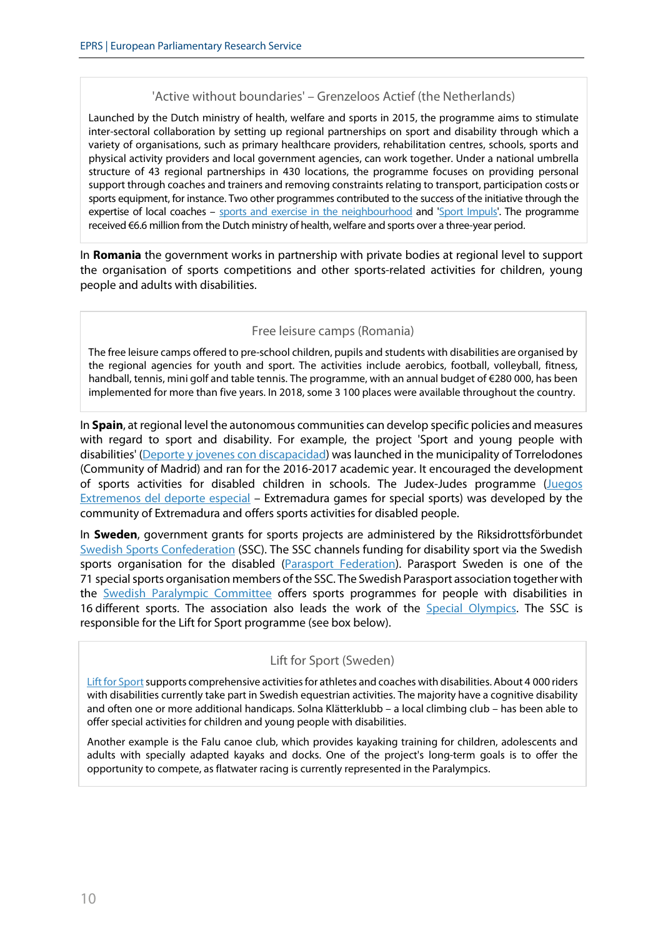#### 'Active without boundaries' – Grenzeloos Actief (the Netherlands)

Launched by the Dutch ministry of health, welfare and sports in 2015, the programme aims to stimulate inter-sectoral collaboration by setting up regional partnerships on sport and disability through which a variety of organisations, such as primary healthcare providers, rehabilitation centres, schools, sports and physical activity providers and local government agencies, can work together. Under a national umbrella structure of 43 regional partnerships in 430 locations, the programme focuses on providing personal support through coaches and trainers and removing constraints relating to transport, participation costs or sports equipment, for instance. Two other programmes contributed to the success of the initiative through the expertise of local coaches – [sports and exercise in the neighbourhood](https://sportindebuurt.nl/) and ['Sport Impuls'.](https://sportimpuls.nl/) The programme received €6.6 million from the Dutch ministry of health, welfare and sports over a three-year period.

In **Romania** the government works in partnership with private bodies at regional level to support the organisation of sports competitions and other sports-related activities for children, young people and adults with disabilities.

#### Free leisure camps (Romania)

The free leisure camps offered to pre-school children, pupils and students with disabilities are organised by the regional agencies for youth and sport. The activities include aerobics, football, volleyball, fitness, handball, tennis, mini golf and table tennis. The programme, with an annual budget of €280 000, has been implemented for more than five years. In 2018, some 3 100 places were available throughout the country.

In **Spain**, at regional level the autonomous communities can develop specific policies and measures with regard to sport and disability. For example, the project 'Sport and young people with disabilities' [\(Deporte y jovenes con discapacidad\)](https://zonajoventorrelodones.com/deporte-y-discapacidad.php) was launched in the municipality of Torrelodones (Community of Madrid) and ran for the 2016-2017 academic year. It encouraged the development of sports activities for disabled children in schools. The Judex-Judes programme [\(Juegos](http://deportextremadura.gobex.es/index.php/judex/jedes)  [Extremenos del deporte especial](http://deportextremadura.gobex.es/index.php/judex/jedes) – Extremadura games for special sports) was developed by the community of Extremadura and offers sports activities for disabled people.

In **Sweden**, government grants for sports projects are administered by the Riksidrottsförbundet [Swedish Sports Confederation](https://www.aspiresport.eu/partner/swedish-sports-confederation) (SSC). The SSC channels funding for disability sport via the Swedish sports organisation for the disabled [\(Parasport Federation\)](http://www.handikappidrott.se/). Parasport Sweden is one of the 71 special sports organisation members of the SSC. The Swedish Parasport association together with the [Swedish Paralympic Committee](http://paralympics.se/) offers sports programmes for people with disabilities in 16 different sports. The association also leads the work of the [Special Olympics.](https://www.specialolympics.org/) The SSC is responsible for the Lift for Sport programme (see box below).

#### Lift for Sport (Sweden)

Lift for Sport supports comprehensive activities for athletes and coaches with disabilities. About 4 000 riders with disabilities currently take part in Swedish equestrian activities. The majority have a cognitive disability and often one or more additional handicaps. Solna Klätterklubb – a local climbing club – has been able to offer special activities for children and young people with disabilities.

Another example is the Falu canoe club, which provides kayaking training for children, adolescents and adults with specially adapted kayaks and docks. One of the project's long-term goals is to offer the opportunity to compete, as flatwater racing is currently represented in the Paralympics.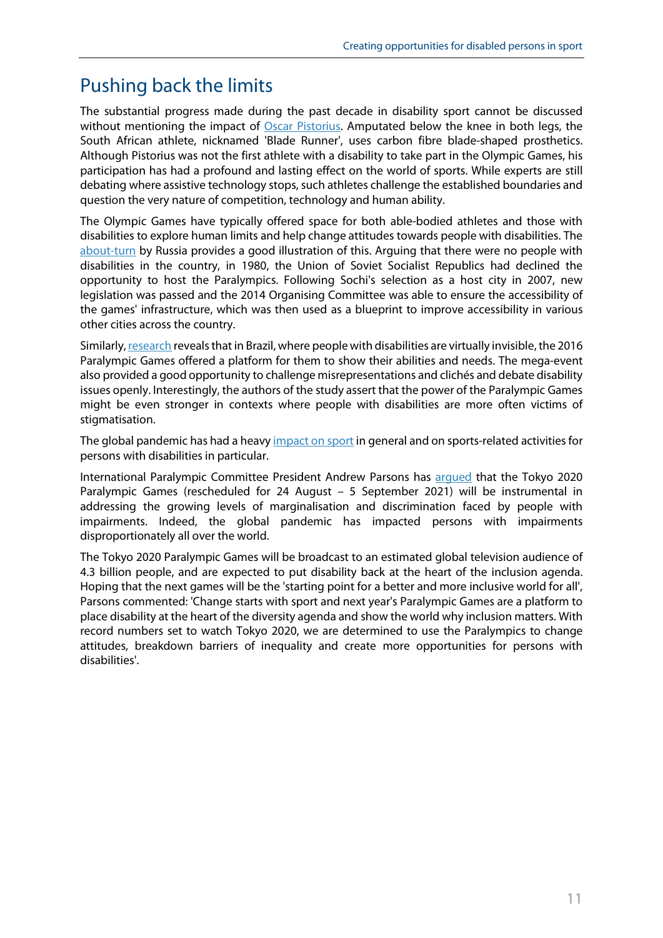### Pushing back the limits

The substantial progress made during the past decade in disability sport cannot be discussed without mentioning the impact of [Oscar Pistorius.](https://www.history.com/this-day-in-history/oscar-pistorius-becomes-the-first-amputee-runner-to-compete-at-the-olympics) Amputated below the knee in both legs, the South African athlete, nicknamed 'Blade Runner', uses carbon fibre blade-shaped prosthetics. Although Pistorius was not the first athlete with a disability to take part in the Olympic Games, his participation has had a profound and lasting effect on the world of sports. While experts are still debating where assistive technology stops, such athletes challenge the established boundaries and question the very nature of competition, technology and human ability.

The Olympic Games have typically offered space for both able-bodied athletes and those with disabilities to explore human limits and help change attitudes towards people with disabilities. The [about-turn](https://www.paralympicheritage.org.uk/sochi-2014-paralympic-winter-games) by Russia provides a good illustration of this. Arguing that there were no people with disabilities in the country, in 1980, the Union of Soviet Socialist Republics had declined the opportunity to host the Paralympics. Following Sochi's selection as a host city in 2007, new legislation was passed and the 2014 Organising Committee was able to ensure the accessibility of the games' infrastructure, which was then used as a blueprint to improve accessibility in various other cities across the country.

Similarly[, research](https://journals.sagepub.com/doi/full/10.1177/2167479520942739) reveals that in Brazil, where people with disabilities are virtually invisible, the 2016 Paralympic Games offered a platform for them to show their abilities and needs. The mega-event also provided a good opportunity to challenge misrepresentations and clichés and debate disability issues openly. Interestingly, the authors of the study assert that the power of the Paralympic Games might be even stronger in contexts where people with disabilities are more often victims of stigmatisation.

The global pandemic has had a heav[y impact on sport](http://www.europarl.europa.eu/thinktank/en/document.html?reference=EPRS_BRI(2021)659449) in general and on sports-related activities for persons with disabilities in particular.

International Paralympic Committee President Andrew Parsons has [argued](https://tokyo2020.org/en/paralympics/news/ipc-president-paralympics-needed-more-than-ever-in-2021) that the Tokyo 2020 Paralympic Games (rescheduled for 24 August – 5 September 2021) will be instrumental in addressing the growing levels of marginalisation and discrimination faced by people with impairments. Indeed, the global pandemic has impacted persons with impairments disproportionately all over the world.

The Tokyo 2020 Paralympic Games will be broadcast to an estimated global television audience of 4.3 billion people, and are expected to put disability back at the heart of the inclusion agenda. Hoping that the next games will be the 'starting point for a better and more inclusive world for all', Parsons commented: 'Change starts with sport and next year's Paralympic Games are a platform to place disability at the heart of the diversity agenda and show the world why inclusion matters. With record numbers set to watch Tokyo 2020, we are determined to use the Paralympics to change attitudes, breakdown barriers of inequality and create more opportunities for persons with disabilities'.